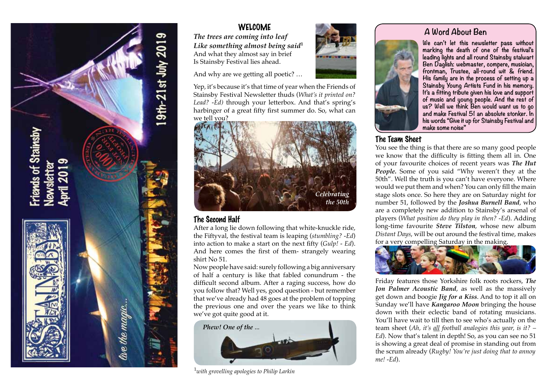

# **WELCOME**

*The trees are coming into leaf Like something almost being said***<sup>1</sup>** And what they almost say in brief Is Stainsby Festival lies ahead.

And why are we getting all poetic? …

Yep, it's because it's that time of year when the Friends of Stainsby Festival Newsletter thuds (*What's it printed on? Lead? -Ed)* through your letterbox. And that's spring's harbinger of a great fifty first summer do. So, what can we tell you?



## The Second Half

After a long lie down following that white-knuckle ride, the Fiftyval, the festival team is leaping (*stumbling? -Ed*) into action to make a start on the next fifty (*Gulp! - Ed*). And here comes the first of them- strangely wearing shirt No 51.

Now people have said: surely following a big anniversary of half a century is like that fabled conundrum - the difficult second album. After a raging success, how do you follow that? Well yes, good question - but remember that we've already had 48 goes at the problem of topping the previous one and over the years we like to think we've got quite good at it.



1 *with grovelling apologies to Philip Larkin*



# **A Word About Ben**



**We can't let this newsletter pass without marking the death of one of the festival's leading lights and all round Stainsby stalwart Ben Daglish: webmaster, compere, musician, frontman, Trustee, all-round wit & friend. His family are in the process of setting up a Stainsby Young Artists Fund in his memory. It's a fitting tribute given his love and support of music and young people. And the rest of us? Well we think Ben would want us to go and make Festival 51 an absolute stonker. In his words "Give it up for Stainsby Festival and make some noise"**

## The Team Sheet

You see the thing is that there are so many good people we know that the difficulty is fitting them all in. One of your favourite choices of recent years was *The Hut People.* Some of you said "Why weren't they at the 50th". Well the truth is you can't have everyone. Where would we put them and when? You can only fill the main stage slots once. So here they are on Saturday night for number 51, followed by the *Joshua Burnell Band*, who are a completely new addition to Stainsby's arsenal of players (*What position do they play in then? -Ed*). Adding long-time favourite *Steve Tilston*, whose new album *Distant Days*, will be out around the festival time, makes for a very compelling Saturday in the making.



Friday features those Yorkshire folk roots rockers, *The Jon Palmer Acoustic Band*, as well as the massively get down and boogie *Jig for a Kiss*. And to top it all on Sunday we'll have *Kangaroo Moon* bringing the house down with their eclectic band of rotating musicians. You'll have wait to till then to see who's actually on the team sheet (*Ah, it's all football analogies this year, is it? – Ed*). Now that's talent in depth! So, as you can see no 51 is showing a great deal of promise in standing out from the scrum already (*Rugby! You're just doing that to annoy me! -Ed*).